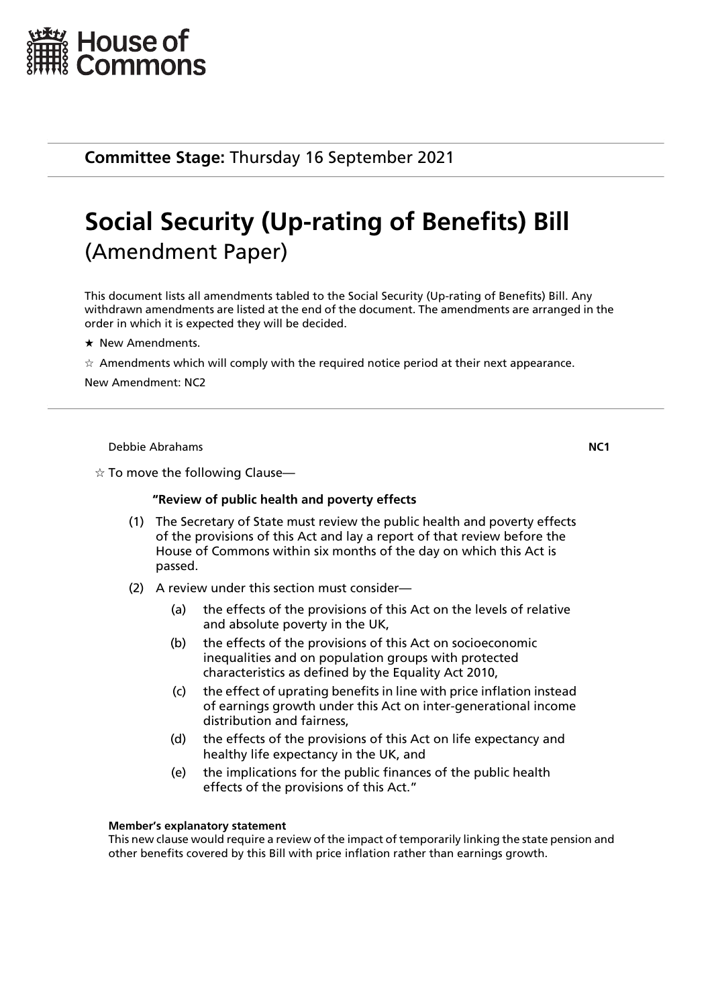

**Committee Stage:** Thursday 16 September 2021

# **Social Security (Up-rating of Benefits) Bill** (Amendment Paper)

This document lists all amendments tabled to the Social Security (Up-rating of Benefits) Bill. Any withdrawn amendments are listed at the end of the document. The amendments are arranged in the order in which it is expected they will be decided.

- $\star$  New Amendments.
- $\star$  Amendments which will comply with the required notice period at their next appearance.

New Amendment: NC2

Debbie Abrahams **NC1**

 $\alpha$  To move the following Clause—

## **"Review of public health and poverty effects**

- (1) The Secretary of State must review the public health and poverty effects of the provisions of this Act and lay a report of that review before the House of Commons within six months of the day on which this Act is passed.
- (2) A review under this section must consider—
	- (a) the effects of the provisions of this Act on the levels of relative and absolute poverty in the UK,
	- (b) the effects of the provisions of this Act on socioeconomic inequalities and on population groups with protected characteristics as defined by the Equality Act 2010,
	- (c) the effect of uprating benefits in line with price inflation instead of earnings growth under this Act on inter-generational income distribution and fairness,
	- (d) the effects of the provisions of this Act on life expectancy and healthy life expectancy in the UK, and
	- (e) the implications for the public finances of the public health effects of the provisions of this Act."

#### **Member's explanatory statement**

This new clause would require a review of the impact of temporarily linking the state pension and other benefits covered by this Bill with price inflation rather than earnings growth.